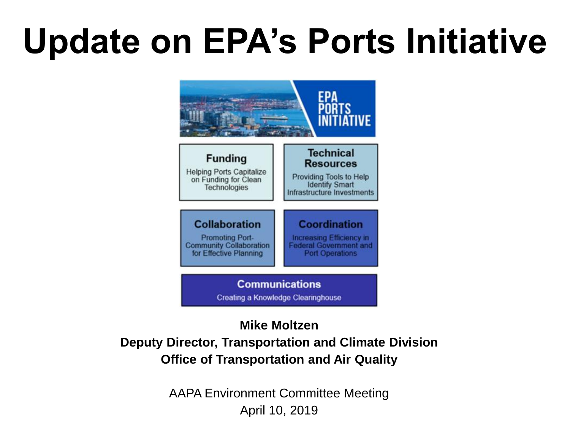# **Update on EPA's Ports Initiative**



### **Mike Moltzen**

### **Deputy Director, Transportation and Climate Division Office of Transportation and Air Quality**

AAPA Environment Committee Meeting April 10, 2019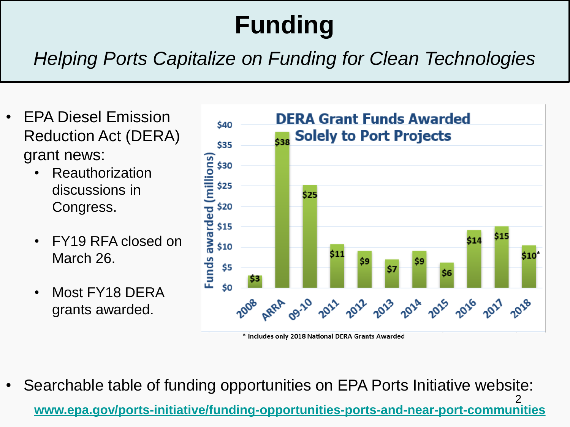## **Funding**

## *Helping Ports Capitalize on Funding for Clean Technologies*

- EPA Diesel Emission Reduction Act (DERA) grant news:
	- **Reauthorization** discussions in Congress.
	- FY19 RFA closed on March 26.
	- Most FY18 DERA grants awarded.



\* Includes only 2018 National DERA Grants Awarded

2 • Searchable table of funding opportunities on EPA Ports Initiative website: **[www.epa.gov/ports-initiative/funding-opportunities-ports-and-near-port-communities](http://www.epa.gov/ports-initiative/funding-opportunities-ports-and-near-port-communities)**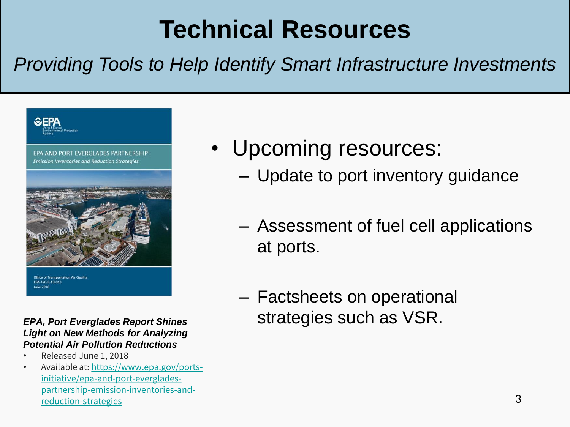## **Technical Resources**

## *Providing Tools to Help Identify Smart Infrastructure Investments*



### *EPA, Port Everglades Report Shines Light on New Methods for Analyzing Potential Air Pollution Reductions*

- Released June 1, 2018
- Available at: https://www.epa.gov/portsinitiative/epa-and-port-everglades[partnership-emission-inventories-and](https://www.epa.gov/ports-initiative/epa-and-port-everglades-partnership-emission-inventories-and-reduction-strategies)reduction-strategies
- Upcoming resources:
	- Update to port inventory guidance
	- Assessment of fuel cell applications at ports.
	- Factsheets on operational strategies such as VSR.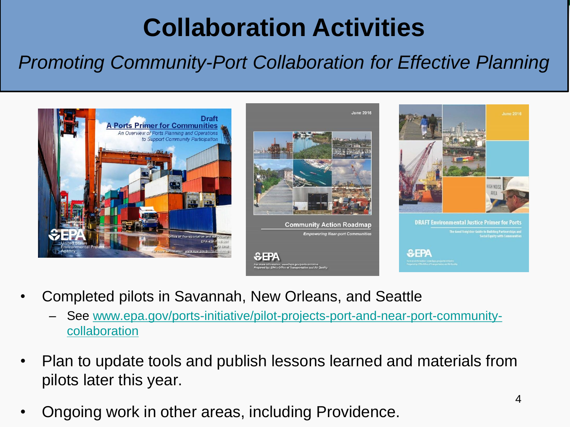## **Collaboration Activities**

## *Promoting Community-Port Collaboration for Effective Planning*



- Completed pilots in Savannah, New Orleans, and Seattle
	- [See www.epa.gov/ports-initiative/pilot-projects-port-and-near-port-community](http://www.epa.gov/ports-initiative/pilot-projects-port-and-near-port-community-collaboration)collaboration
- Plan to update tools and publish lessons learned and materials from pilots later this year.
- Ongoing work in other areas, including Providence.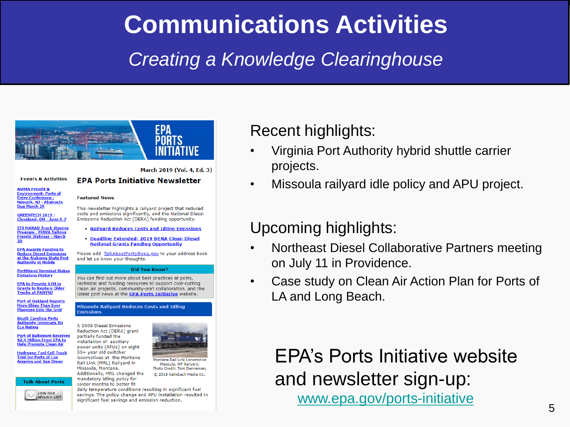## **Communications Activities**

## *Creating a Knowledge Clearinghouse*



#### **Events & Activities**

**AWMA Freight & Environment: Ports of Entry Conference -Newark, NJ - Abstracts** Due March 29

GREENTECH 2019 -Cleveland, OH - June 5-7

**ITS MARAD Truck Staging** Program - FHWA Talking Freight Webinar - March

**EPA Awards Funding to Reduce Diesel Emissions** at the Alabama State Port **Authority in Mobile** 

**PortMiami Terminal Makes Emissions History** 

**EPA to Provide \$2M in Grants to Replace Older Trucks at PANYNJ** 

**Port of Oakland Reports More Ships Than Ever** <u>gging Into the Grid</u>

**South Carolina Ports Authority Improves Its Eco Rating** 

**Port of Baltimore Receives** \$2.4 Million From EPA to **Help Promote Clean Air** 

**Hydrogen Fuel Cell Truck Trial for Ports of Los is and San Diego** 





### March 2019 (Vol. 4, Ed. 3)

### **EPA Ports Initiative Newsletter**

#### **Featured News**

This newsletter highlights a railyard project that reduced costs and emissions significantly, and the National Diesel Emissions Reduction Act (DERA) funding opportunity.

- **Railyard Reduces Costs and Idling Emissions**
- · Deadline Extended: 2019 DERA Clean Diesel **National Grants Funding Opportunity**

Please add TalkAboutPorts@epa.gov to your address book and let us know your thoughts.

#### **Did You Know?**

You can find out more about best practices at ports, technical and funding resources to support cost-cutting clean air projects, community-port collaboration, and the latest port news at the **EPA Ports Initiative** website.

#### **Missoula Railyard Reduces Costs and Idling Emissions**

A 2009 Diesel Emissions Reduction Act (DERA) grant partially funded the installation of auxiliary power units (APUs) on eight 50+ year old switcher locomotives at the Montana

Missoula, Montana.

Montana Rail Link Locomotive Rail Link (MRL) Railyard in Missoula, MT Railyard. Photo Credit: Tom Danneman Additionally, MRL changed the C 2018 Kalmbach Media Co. mandatory idling policy for

colder months to better fit daily temperature conditions resulting in significant fuel savings. The policy change and APU installation resulted in significant fuel savings and emission reduction.

### Recent highlights:

- Virginia Port Authority hybrid shuttle carrier projects.
- Missoula railyard idle policy and APU project.

### Upcoming highlights:

- Northeast Diesel Collaborative Partners meeting on July 11 in Providence.
- Case study on Clean Air Action Plan for Ports of LA and Long Beach.

EPA's Ports Initiative website and newsletter sign-up: [www.epa.gov/ports-initiative](http://www.epa.gov/ports-initiative)